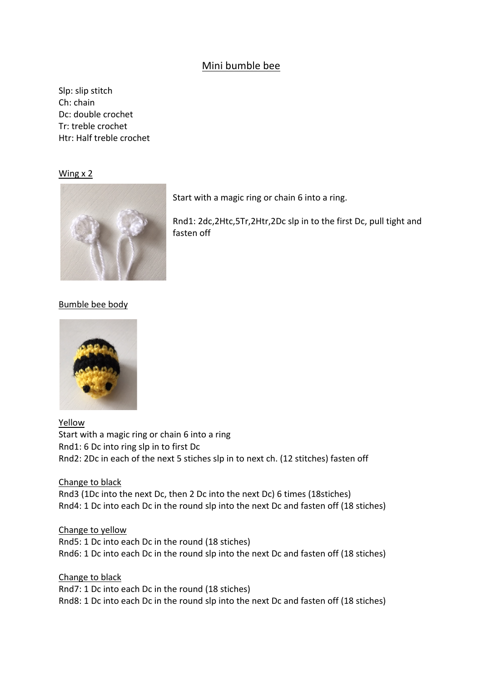## Mini bumble bee

Slp: slip stitch Ch: chain Dc: double crochet Tr: treble crochet Htr: Half treble crochet

Wing x 2



Start with a magic ring or chain 6 into a ring.

Rnd1: 2dc,2Htc,5Tr,2Htr,2Dc slp in to the first Dc, pull tight and fasten off

## Bumble bee body



Yellow Start with a magic ring or chain 6 into a ring Rnd1: 6 Dc into ring slp in to first Dc Rnd2: 2Dc in each of the next 5 stiches slp in to next ch. (12 stitches) fasten off

Change to black Rnd3 (1Dc into the next Dc, then 2 Dc into the next Dc) 6 times (18stiches)

Rnd4: 1 Dc into each Dc in the round slp into the next Dc and fasten off (18 stiches)

Change to yellow Rnd5: 1 Dc into each Dc in the round (18 stiches) Rnd6: 1 Dc into each Dc in the round slp into the next Dc and fasten off (18 stiches)

Change to black Rnd7: 1 Dc into each Dc in the round (18 stiches) Rnd8: 1 Dc into each Dc in the round slp into the next Dc and fasten off (18 stiches)